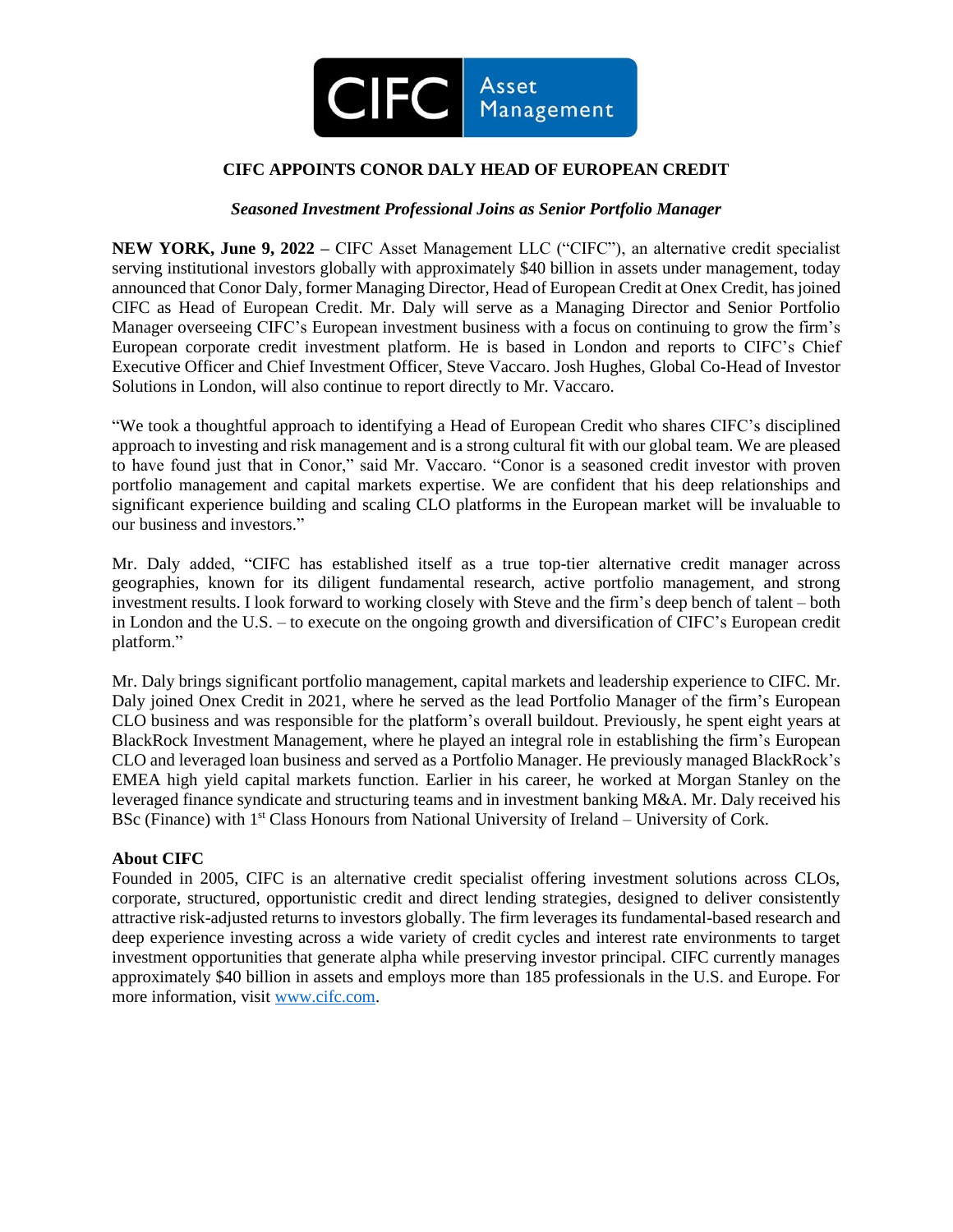

## **CIFC APPOINTS CONOR DALY HEAD OF EUROPEAN CREDIT**

## *Seasoned Investment Professional Joins as Senior Portfolio Manager*

**NEW YORK, June 9, 2022 –** CIFC Asset Management LLC ("CIFC"), an alternative credit specialist serving institutional investors globally with approximately \$40 billion in assets under management, today announced that Conor Daly, former Managing Director, Head of European Credit at Onex Credit, has joined CIFC as Head of European Credit. Mr. Daly will serve as a Managing Director and Senior Portfolio Manager overseeing CIFC's European investment business with a focus on continuing to grow the firm's European corporate credit investment platform. He is based in London and reports to CIFC's Chief Executive Officer and Chief Investment Officer, Steve Vaccaro. Josh Hughes, Global Co-Head of Investor Solutions in London, will also continue to report directly to Mr. Vaccaro.

"We took a thoughtful approach to identifying a Head of European Credit who shares CIFC's disciplined approach to investing and risk management and is a strong cultural fit with our global team. We are pleased to have found just that in Conor," said Mr. Vaccaro. "Conor is a seasoned credit investor with proven portfolio management and capital markets expertise. We are confident that his deep relationships and significant experience building and scaling CLO platforms in the European market will be invaluable to our business and investors."

Mr. Daly added, "CIFC has established itself as a true top-tier alternative credit manager across geographies, known for its diligent fundamental research, active portfolio management, and strong investment results. I look forward to working closely with Steve and the firm's deep bench of talent – both in London and the U.S. – to execute on the ongoing growth and diversification of CIFC's European credit platform."

Mr. Daly brings significant portfolio management, capital markets and leadership experience to CIFC. Mr. Daly joined Onex Credit in 2021, where he served as the lead Portfolio Manager of the firm's European CLO business and was responsible for the platform's overall buildout. Previously, he spent eight years at BlackRock Investment Management, where he played an integral role in establishing the firm's European CLO and leveraged loan business and served as a Portfolio Manager. He previously managed BlackRock's EMEA high yield capital markets function. Earlier in his career, he worked at Morgan Stanley on the leveraged finance syndicate and structuring teams and in investment banking M&A. Mr. Daly received his BSc (Finance) with 1<sup>st</sup> Class Honours from National University of Ireland – University of Cork.

## **About CIFC**

Founded in 2005, CIFC is an alternative credit specialist offering investment solutions across CLOs, corporate, structured, opportunistic credit and direct lending strategies, designed to deliver consistently attractive risk-adjusted returns to investors globally. The firm leverages its fundamental-based research and deep experience investing across a wide variety of credit cycles and interest rate environments to target investment opportunities that generate alpha while preserving investor principal. CIFC currently manages approximately \$40 billion in assets and employs more than 185 professionals in the U.S. and Europe. For more information, visit [www.cifc.com.](http://www.cifc.com/)